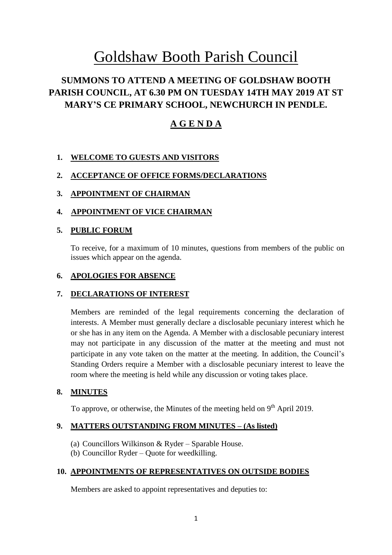# Goldshaw Booth Parish Council

# **SUMMONS TO ATTEND A MEETING OF GOLDSHAW BOOTH PARISH COUNCIL, AT 6.30 PM ON TUESDAY 14TH MAY 2019 AT ST MARY'S CE PRIMARY SCHOOL, NEWCHURCH IN PENDLE.**

# **A G E N D A**

# **1. WELCOME TO GUESTS AND VISITORS**

# **2. ACCEPTANCE OF OFFICE FORMS/DECLARATIONS**

# **3. APPOINTMENT OF CHAIRMAN**

# **4. APPOINTMENT OF VICE CHAIRMAN**

# **5. PUBLIC FORUM**

To receive, for a maximum of 10 minutes, questions from members of the public on issues which appear on the agenda.

#### **6. APOLOGIES FOR ABSENCE**

#### **7. DECLARATIONS OF INTEREST**

Members are reminded of the legal requirements concerning the declaration of interests. A Member must generally declare a disclosable pecuniary interest which he or she has in any item on the Agenda. A Member with a disclosable pecuniary interest may not participate in any discussion of the matter at the meeting and must not participate in any vote taken on the matter at the meeting. In addition, the Council's Standing Orders require a Member with a disclosable pecuniary interest to leave the room where the meeting is held while any discussion or voting takes place.

# **8. MINUTES**

To approve, or otherwise, the Minutes of the meeting held on  $9<sup>th</sup>$  April 2019.

#### **9. MATTERS OUTSTANDING FROM MINUTES – (As listed)**

- (a) Councillors Wilkinson & Ryder Sparable House.
- (b) Councillor Ryder Quote for weedkilling.

# **10. APPOINTMENTS OF REPRESENTATIVES ON OUTSIDE BODIES**

Members are asked to appoint representatives and deputies to: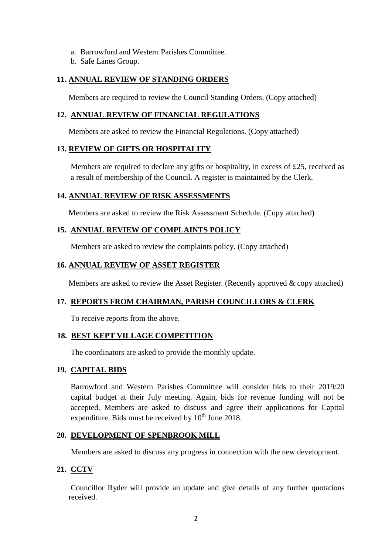- a. Barrowford and Western Parishes Committee.
- b. Safe Lanes Group.

# **11. ANNUAL REVIEW OF STANDING ORDERS**

Members are required to review the Council Standing Orders. (Copy attached)

# **12. ANNUAL REVIEW OF FINANCIAL REGULATIONS**

Members are asked to review the Financial Regulations. (Copy attached)

# **13. REVIEW OF GIFTS OR HOSPITALITY**

Members are required to declare any gifts or hospitality, in excess of £25, received as a result of membership of the Council. A register is maintained by the Clerk.

# **14. ANNUAL REVIEW OF RISK ASSESSMENTS**

Members are asked to review the Risk Assessment Schedule. (Copy attached)

# **15. ANNUAL REVIEW OF COMPLAINTS POLICY**

Members are asked to review the complaints policy. (Copy attached)

# **16. ANNUAL REVIEW OF ASSET REGISTER**

Members are asked to review the Asset Register. (Recently approved & copy attached)

# **17. REPORTS FROM CHAIRMAN, PARISH COUNCILLORS & CLERK**

To receive reports from the above.

#### **18. BEST KEPT VILLAGE COMPETITION**

The coordinators are asked to provide the monthly update.

#### **19. CAPITAL BIDS**

Barrowford and Western Parishes Committee will consider bids to their 2019/20 capital budget at their July meeting. Again, bids for revenue funding will not be accepted. Members are asked to discuss and agree their applications for Capital expenditure. Bids must be received by  $10<sup>th</sup>$  June 2018.

# **20. DEVELOPMENT OF SPENBROOK MILL**

Members are asked to discuss any progress in connection with the new development.

# **21. CCTV**

Councillor Ryder will provide an update and give details of any further quotations received.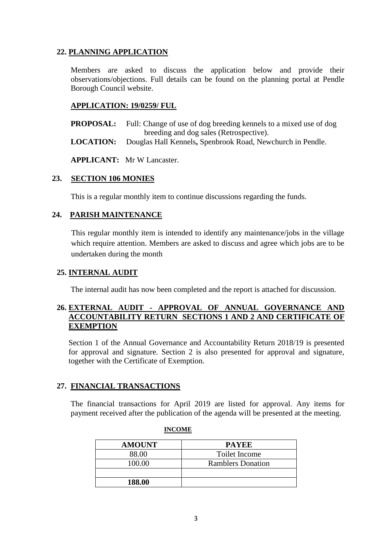# **22. PLANNING APPLICATION**

Members are asked to discuss the application below and provide their observations/objections. Full details can be found on the planning portal at Pendle Borough Council website.

# **APPLICATION: 19/0259/ FUL**

**PROPOSAL:** Full: Change of use of dog breeding kennels to a mixed use of dog breeding and dog sales (Retrospective).

**LOCATION:** Douglas Hall Kennels**,** Spenbrook Road, Newchurch in Pendle.

**APPLICANT:** Mr W Lancaster.

# **23. SECTION 106 MONIES**

This is a regular monthly item to continue discussions regarding the funds.

# **24. PARISH MAINTENANCE**

This regular monthly item is intended to identify any maintenance/jobs in the village which require attention. Members are asked to discuss and agree which jobs are to be undertaken during the month

# **25. INTERNAL AUDIT**

The internal audit has now been completed and the report is attached for discussion.

# **26. EXTERNAL AUDIT - APPROVAL OF ANNUAL GOVERNANCE AND ACCOUNTABILITY RETURN SECTIONS 1 AND 2 AND CERTIFICATE OF EXEMPTION**

Section 1 of the Annual Governance and Accountability Return 2018/19 is presented for approval and signature. Section 2 is also presented for approval and signature, together with the Certificate of Exemption.

# **27. FINANCIAL TRANSACTIONS**

The financial transactions for April 2019 are listed for approval. Any items for payment received after the publication of the agenda will be presented at the meeting.

| <b>AMOUNT</b> | <b>PAYEE</b>             |
|---------------|--------------------------|
| 88.00         | Toilet Income            |
| 100.00        | <b>Ramblers Donation</b> |
|               |                          |
| 188.00        |                          |

#### **INCOME**